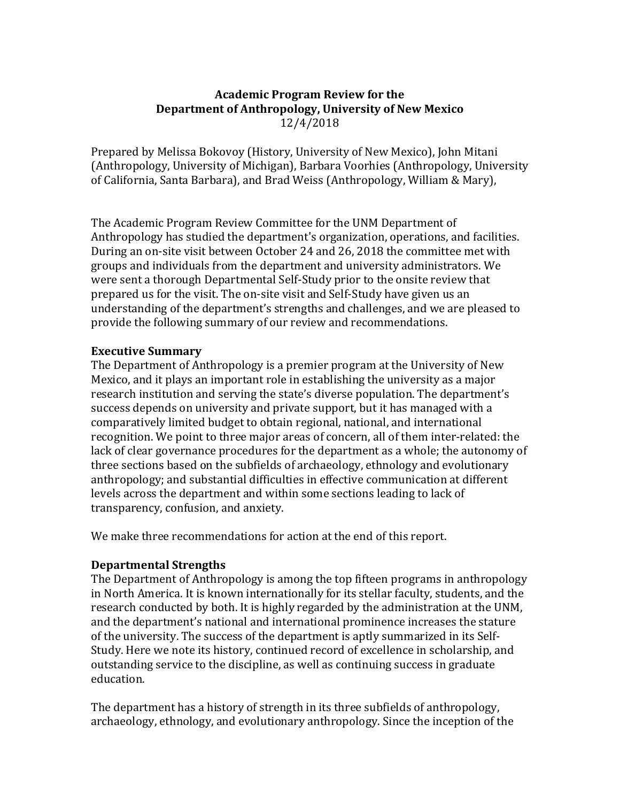# **Academic Program Review for the Department of Anthropology, University of New Mexico** 12/4/2018

Prepared by Melissa Bokovoy (History, University of New Mexico), John Mitani (Anthropology, University of Michigan), Barbara Voorhies (Anthropology, University of California, Santa Barbara), and Brad Weiss (Anthropology, William & Mary),

The Academic Program Review Committee for the UNM Department of Anthropology has studied the department's organization, operations, and facilities. During an on-site visit between October 24 and 26, 2018 the committee met with groups and individuals from the department and university administrators. We were sent a thorough Departmental Self-Study prior to the onsite review that prepared us for the visit. The on-site visit and Self-Study have given us an understanding of the department's strengths and challenges, and we are pleased to provide the following summary of our review and recommendations.

# **Executive Summary**

The Department of Anthropology is a premier program at the University of New Mexico, and it plays an important role in establishing the university as a major research institution and serving the state's diverse population. The department's success depends on university and private support, but it has managed with a comparatively limited budget to obtain regional, national, and international recognition. We point to three major areas of concern, all of them inter-related: the lack of clear governance procedures for the department as a whole; the autonomy of three sections based on the subfields of archaeology, ethnology and evolutionary anthropology; and substantial difficulties in effective communication at different levels across the department and within some sections leading to lack of transparency, confusion, and anxiety.

We make three recommendations for action at the end of this report.

# **Departmental Strengths**

The Department of Anthropology is among the top fifteen programs in anthropology in North America. It is known internationally for its stellar faculty, students, and the research conducted by both. It is highly regarded by the administration at the UNM, and the department's national and international prominence increases the stature of the university. The success of the department is aptly summarized in its Self-Study. Here we note its history, continued record of excellence in scholarship, and outstanding service to the discipline, as well as continuing success in graduate education. 

The department has a history of strength in its three subfields of anthropology, archaeology, ethnology, and evolutionary anthropology. Since the inception of the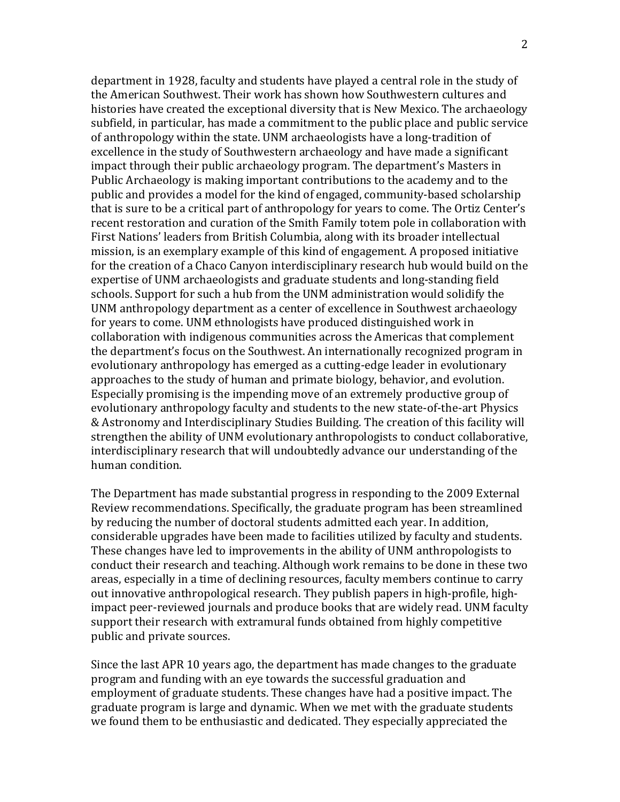department in 1928, faculty and students have played a central role in the study of the American Southwest. Their work has shown how Southwestern cultures and histories have created the exceptional diversity that is New Mexico. The archaeology subfield, in particular, has made a commitment to the public place and public service of anthropology within the state. UNM archaeologists have a long-tradition of excellence in the study of Southwestern archaeology and have made a significant impact through their public archaeology program. The department's Masters in Public Archaeology is making important contributions to the academy and to the public and provides a model for the kind of engaged, community-based scholarship that is sure to be a critical part of anthropology for years to come. The Ortiz Center's recent restoration and curation of the Smith Family totem pole in collaboration with First Nations' leaders from British Columbia, along with its broader intellectual mission, is an exemplary example of this kind of engagement. A proposed initiative for the creation of a Chaco Canyon interdisciplinary research hub would build on the expertise of UNM archaeologists and graduate students and long-standing field schools. Support for such a hub from the UNM administration would solidify the UNM anthropology department as a center of excellence in Southwest archaeology for years to come. UNM ethnologists have produced distinguished work in collaboration with indigenous communities across the Americas that complement the department's focus on the Southwest. An internationally recognized program in evolutionary anthropology has emerged as a cutting-edge leader in evolutionary approaches to the study of human and primate biology, behavior, and evolution. Especially promising is the impending move of an extremely productive group of evolutionary anthropology faculty and students to the new state-of-the-art Physics & Astronomy and Interdisciplinary Studies Building. The creation of this facility will strengthen the ability of UNM evolutionary anthropologists to conduct collaborative, interdisciplinary research that will undoubtedly advance our understanding of the human condition.

The Department has made substantial progress in responding to the 2009 External Review recommendations. Specifically, the graduate program has been streamlined by reducing the number of doctoral students admitted each year. In addition, considerable upgrades have been made to facilities utilized by faculty and students. These changes have led to improvements in the ability of UNM anthropologists to conduct their research and teaching. Although work remains to be done in these two areas, especially in a time of declining resources, faculty members continue to carry out innovative anthropological research. They publish papers in high-profile, highimpact peer-reviewed journals and produce books that are widely read. UNM faculty support their research with extramural funds obtained from highly competitive public and private sources.

Since the last APR 10 years ago, the department has made changes to the graduate program and funding with an eye towards the successful graduation and employment of graduate students. These changes have had a positive impact. The graduate program is large and dynamic. When we met with the graduate students we found them to be enthusiastic and dedicated. They especially appreciated the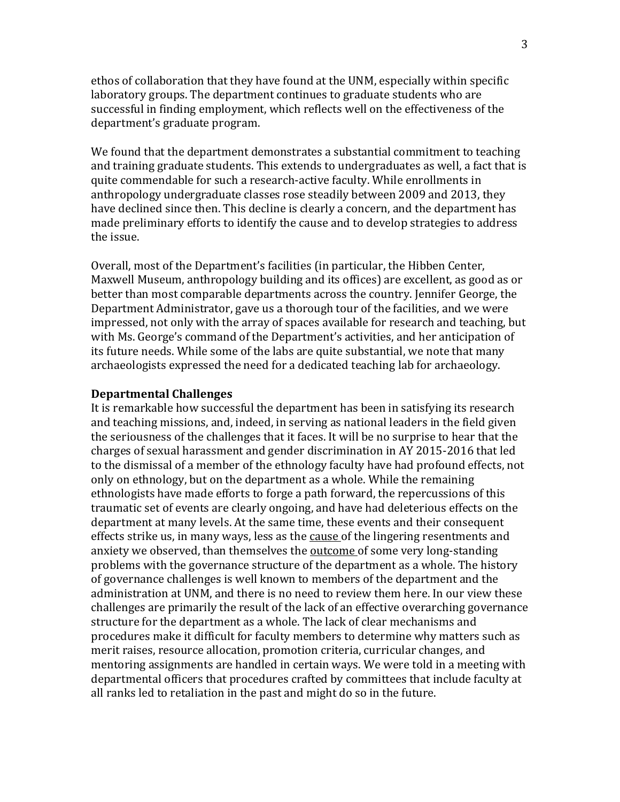ethos of collaboration that they have found at the UNM, especially within specific laboratory groups. The department continues to graduate students who are successful in finding employment, which reflects well on the effectiveness of the department's graduate program.

We found that the department demonstrates a substantial commitment to teaching and training graduate students. This extends to undergraduates as well, a fact that is quite commendable for such a research-active faculty. While enrollments in anthropology undergraduate classes rose steadily between 2009 and 2013, they have declined since then. This decline is clearly a concern, and the department has made preliminary efforts to identify the cause and to develop strategies to address the issue.

Overall, most of the Department's facilities (in particular, the Hibben Center, Maxwell Museum, anthropology building and its offices) are excellent, as good as or better than most comparable departments across the country. Jennifer George, the Department Administrator, gave us a thorough tour of the facilities, and we were impressed, not only with the array of spaces available for research and teaching, but with Ms. George's command of the Department's activities, and her anticipation of its future needs. While some of the labs are quite substantial, we note that many archaeologists expressed the need for a dedicated teaching lab for archaeology.

### **Departmental Challenges**

It is remarkable how successful the department has been in satisfying its research and teaching missions, and, indeed, in serving as national leaders in the field given the seriousness of the challenges that it faces. It will be no surprise to hear that the charges of sexual harassment and gender discrimination in AY 2015-2016 that led to the dismissal of a member of the ethnology faculty have had profound effects, not only on ethnology, but on the department as a whole. While the remaining ethnologists have made efforts to forge a path forward, the repercussions of this traumatic set of events are clearly ongoing, and have had deleterious effects on the department at many levels. At the same time, these events and their consequent effects strike us, in many ways, less as the cause of the lingering resentments and anxiety we observed, than themselves the outcome of some very long-standing problems with the governance structure of the department as a whole. The history of governance challenges is well known to members of the department and the administration at UNM, and there is no need to review them here. In our view these challenges are primarily the result of the lack of an effective overarching governance structure for the department as a whole. The lack of clear mechanisms and procedures make it difficult for faculty members to determine why matters such as merit raises, resource allocation, promotion criteria, curricular changes, and mentoring assignments are handled in certain ways. We were told in a meeting with departmental officers that procedures crafted by committees that include faculty at all ranks led to retaliation in the past and might do so in the future.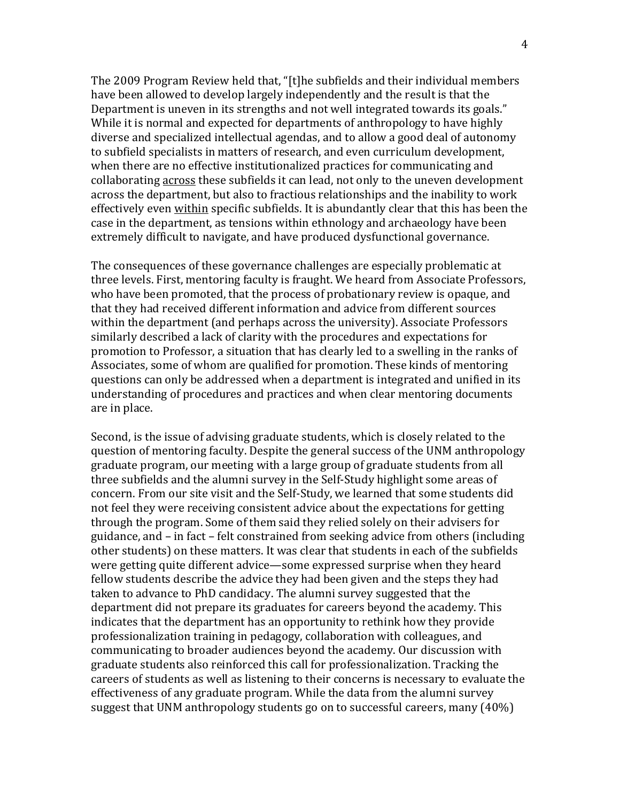The 2009 Program Review held that, "[t]he subfields and their individual members have been allowed to develop largely independently and the result is that the Department is uneven in its strengths and not well integrated towards its goals." While it is normal and expected for departments of anthropology to have highly diverse and specialized intellectual agendas, and to allow a good deal of autonomy to subfield specialists in matters of research, and even curriculum development, when there are no effective institutionalized practices for communicating and collaborating across these subfields it can lead, not only to the uneven development across the department, but also to fractious relationships and the inability to work effectively even within specific subfields. It is abundantly clear that this has been the case in the department, as tensions within ethnology and archaeology have been extremely difficult to navigate, and have produced dysfunctional governance.

The consequences of these governance challenges are especially problematic at three levels. First, mentoring faculty is fraught. We heard from Associate Professors, who have been promoted, that the process of probationary review is opaque, and that they had received different information and advice from different sources within the department (and perhaps across the university). Associate Professors similarly described a lack of clarity with the procedures and expectations for promotion to Professor, a situation that has clearly led to a swelling in the ranks of Associates, some of whom are qualified for promotion. These kinds of mentoring questions can only be addressed when a department is integrated and unified in its understanding of procedures and practices and when clear mentoring documents are in place.

Second, is the issue of advising graduate students, which is closely related to the question of mentoring faculty. Despite the general success of the UNM anthropology graduate program, our meeting with a large group of graduate students from all three subfields and the alumni survey in the Self-Study highlight some areas of concern. From our site visit and the Self-Study, we learned that some students did not feel they were receiving consistent advice about the expectations for getting through the program. Some of them said they relied solely on their advisers for guidance, and – in fact – felt constrained from seeking advice from others (including other students) on these matters. It was clear that students in each of the subfields were getting quite different advice—some expressed surprise when they heard fellow students describe the advice they had been given and the steps they had taken to advance to PhD candidacy. The alumni survey suggested that the department did not prepare its graduates for careers beyond the academy. This indicates that the department has an opportunity to rethink how they provide professionalization training in pedagogy, collaboration with colleagues, and communicating to broader audiences beyond the academy. Our discussion with graduate students also reinforced this call for professionalization. Tracking the careers of students as well as listening to their concerns is necessary to evaluate the effectiveness of any graduate program. While the data from the alumni survey suggest that UNM anthropology students go on to successful careers, many  $(40\%)$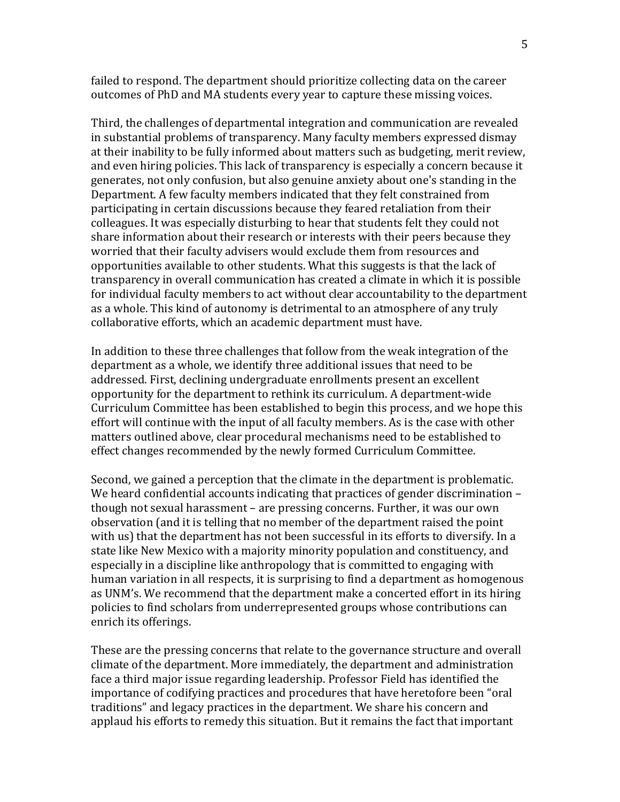failed to respond. The department should prioritize collecting data on the career outcomes of PhD and MA students every year to capture these missing voices.

Third, the challenges of departmental integration and communication are revealed in substantial problems of transparency. Many faculty members expressed dismay at their inability to be fully informed about matters such as budgeting, merit review, and even hiring policies. This lack of transparency is especially a concern because it generates, not only confusion, but also genuine anxiety about one's standing in the Department. A few faculty members indicated that they felt constrained from participating in certain discussions because they feared retaliation from their colleagues. It was especially disturbing to hear that students felt they could not share information about their research or interests with their peers because they worried that their faculty advisers would exclude them from resources and opportunities available to other students. What this suggests is that the lack of transparency in overall communication has created a climate in which it is possible for individual faculty members to act without clear accountability to the department as a whole. This kind of autonomy is detrimental to an atmosphere of any truly collaborative efforts, which an academic department must have.

In addition to these three challenges that follow from the weak integration of the department as a whole, we identify three additional issues that need to be addressed. First, declining undergraduate enrollments present an excellent opportunity for the department to rethink its curriculum. A department-wide Curriculum Committee has been established to begin this process, and we hope this effort will continue with the input of all faculty members. As is the case with other matters outlined above, clear procedural mechanisms need to be established to effect changes recommended by the newly formed Curriculum Committee.

Second, we gained a perception that the climate in the department is problematic. We heard confidential accounts indicating that practices of gender discrimination  $$ though not sexual harassment – are pressing concerns. Further, it was our own observation (and it is telling that no member of the department raised the point with us) that the department has not been successful in its efforts to diversify. In a state like New Mexico with a majority minority population and constituency, and especially in a discipline like anthropology that is committed to engaging with human variation in all respects, it is surprising to find a department as homogenous as UNM's. We recommend that the department make a concerted effort in its hiring policies to find scholars from underrepresented groups whose contributions can enrich its offerings.

These are the pressing concerns that relate to the governance structure and overall climate of the department. More immediately, the department and administration face a third major issue regarding leadership. Professor Field has identified the importance of codifying practices and procedures that have heretofore been "oral traditions" and legacy practices in the department. We share his concern and applaud his efforts to remedy this situation. But it remains the fact that important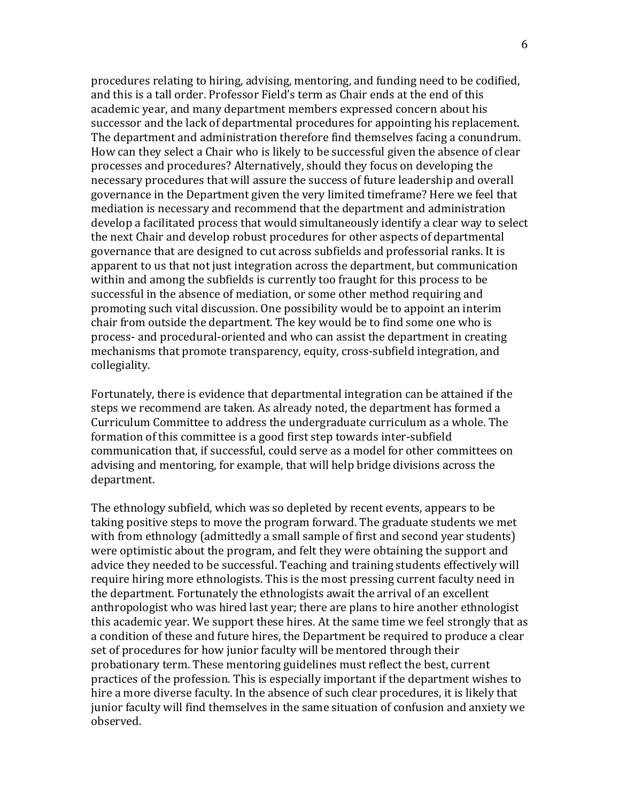procedures relating to hiring, advising, mentoring, and funding need to be codified, and this is a tall order. Professor Field's term as Chair ends at the end of this academic vear, and many department members expressed concern about his successor and the lack of departmental procedures for appointing his replacement. The department and administration therefore find themselves facing a conundrum. How can they select a Chair who is likely to be successful given the absence of clear processes and procedures? Alternatively, should they focus on developing the necessary procedures that will assure the success of future leadership and overall governance in the Department given the very limited timeframe? Here we feel that mediation is necessary and recommend that the department and administration develop a facilitated process that would simultaneously identify a clear way to select the next Chair and develop robust procedures for other aspects of departmental governance that are designed to cut across subfields and professorial ranks. It is apparent to us that not just integration across the department, but communication within and among the subfields is currently too fraught for this process to be successful in the absence of mediation, or some other method requiring and promoting such vital discussion. One possibility would be to appoint an interim chair from outside the department. The key would be to find some one who is process- and procedural-oriented and who can assist the department in creating mechanisms that promote transparency, equity, cross-subfield integration, and collegiality. 

Fortunately, there is evidence that departmental integration can be attained if the steps we recommend are taken. As already noted, the department has formed a Curriculum Committee to address the undergraduate curriculum as a whole. The formation of this committee is a good first step towards inter-subfield communication that, if successful, could serve as a model for other committees on advising and mentoring, for example, that will help bridge divisions across the department. 

The ethnology subfield, which was so depleted by recent events, appears to be taking positive steps to move the program forward. The graduate students we met with from ethnology (admittedly a small sample of first and second year students) were optimistic about the program, and felt they were obtaining the support and advice they needed to be successful. Teaching and training students effectively will require hiring more ethnologists. This is the most pressing current faculty need in the department. Fortunately the ethnologists await the arrival of an excellent anthropologist who was hired last year; there are plans to hire another ethnologist this academic year. We support these hires. At the same time we feel strongly that as a condition of these and future hires, the Department be required to produce a clear set of procedures for how junior faculty will be mentored through their probationary term. These mentoring guidelines must reflect the best, current practices of the profession. This is especially important if the department wishes to hire a more diverse faculty. In the absence of such clear procedures, it is likely that junior faculty will find themselves in the same situation of confusion and anxiety we observed.